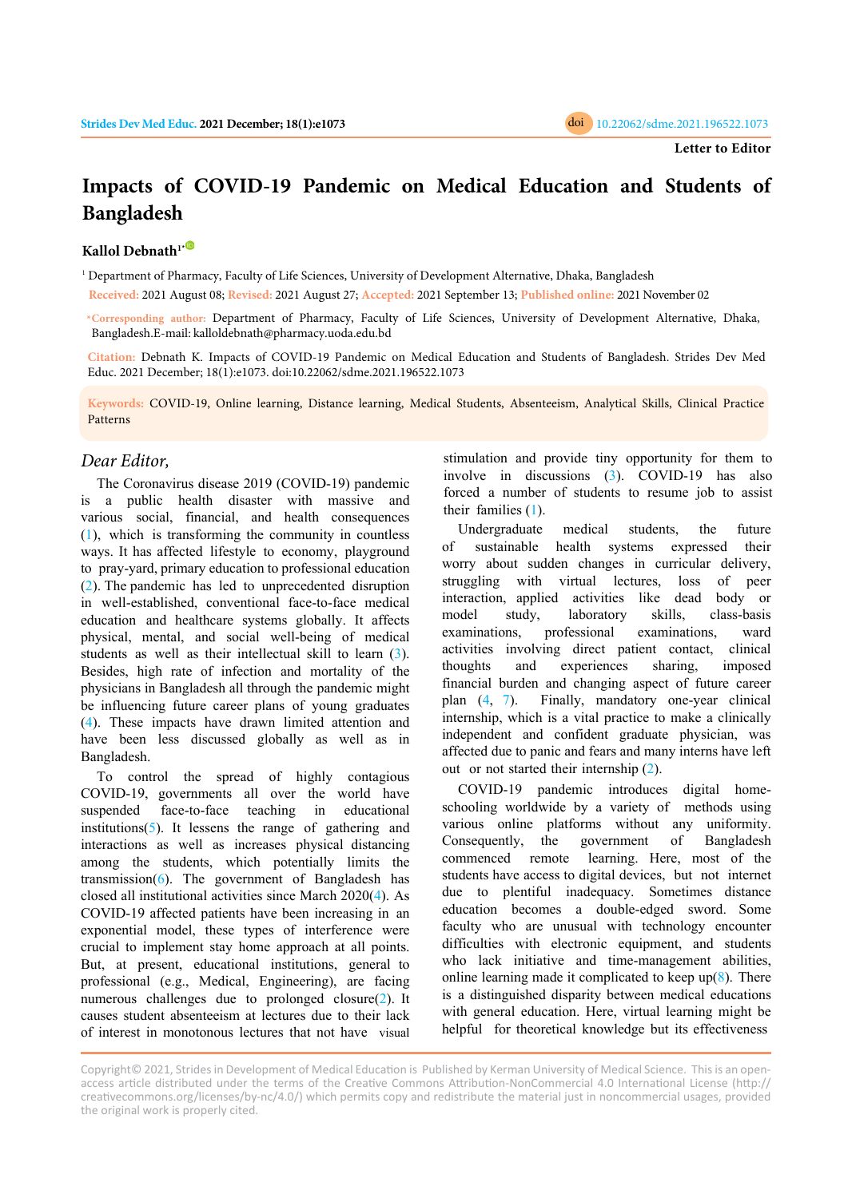

## **Impacts of COVID-19 Pandemic on Medical Education and Students of Bangladesh**

## **Kallol Debnath1[\\*](https://orcid.org/0000-0003-0429-829X)**

1 Department of Pharmacy, Faculty of Life Sciences, University of Development Alternative, Dhaka, Bangladesh **Received:** 2021 August 08; **Revised:** 2021 August 27; **Accepted:** 2021 September 13; **Published online:** 2021 November 02

**\*Corresponding author:** Department of Pharmacy, Faculty of Life Sciences, University of Development Alternative, Dhaka, Bangladesh.E-mail: kalloldebnath@pharmacy.uoda.edu.bd

**Citation:** Debnath K. Impacts of COVID-19 Pandemic on Medical Education and Students of Bangladesh. Strides Dev Med Educ. 2021 December; 18(1):e1073. doi:10.22062/sdme.2021.196522.1073

**Keywords:** COVID-19, Online learning, Distance learning, Medical Students, Absenteeism, Analytical Skills, Clinical Practice Patterns

## *Dear Editor,*

The Coronavirus disease 2019 (COVID-19) pandemic is a public health disaster with massive and various social, financial, and health consequences [\(1\)](#page-1-0), which is transforming the community in countless ways. It has affected lifestyle to economy, playground to pray-yard, primary education to professional education [\(2](#page-1-0)). The pandemic has led to unprecedented disruption in well-established, conventional face-to-face medical education and healthcare systems globally. It affects physical, mental, and social well-being of medical students as well as their intellectual skill to learn [\(3\)](#page-1-0). Besides, high rate of infection and mortality of the physicians in Bangladesh all through the pandemic might be influencing future career plans of young graduates [\(4\)](#page-1-0). These impacts have drawn limited attention and have been less discussed globally as well as in Bangladesh.

To control the spread of highly contagious COVID-19, governments all over the world have suspended face-to-face teaching in educational institutions( $5$ ). It lessens the range of gathering and interactions as well as increases physical distancing among the students, which potentially limits the transmission( $6$ ). The government of Bangladesh has closed all institutional activities since March 2020([4\)](#page-1-0). As COVID-19 affected patients have been increasing in an exponential model, these types of interference were crucial to implement stay home approach at all points. But, at present, educational institutions, general to professional (e.g., Medical, Engineering), are facing numerous challenges due to prolonged closure([2\)](#page-1-0). It causes student absenteeism at lectures due to their lack of interest in monotonous lectures that not have visual

stimulation and provide tiny opportunity for them to involve in discussions [\(3\)](#page-1-0). COVID-19 has also forced a number of students to resume job to assist their families [\(1\)](#page-1-0).

Undergraduate medical students, the future of sustainable health systems expressed their worry about sudden changes in curricular delivery, struggling with virtual lectures, loss of peer interaction, applied activities like dead body or model study, laboratory skills, class-basis examinations, professional examinations, ward activities involving direct patient contact, clinical thoughts and experiences sharing, imposed financial burden and changing aspect of future career plan ([4,](#page-1-0) [7\)](#page-1-0). Finally, mandatory one-year clinical internship, which is a vital practice to make a clinically independent and confident graduate physician, was affected due to panic and fears and many interns have left out or not started their internship ([2\)](#page-1-0).

COVID-19 pandemic introduces digital homeschooling worldwide by a variety of methods using various online platforms without any uniformity. Consequently, the government of Bangladesh commenced remote learning. Here, most of the students have access to digital devices, but not internet due to plentiful inadequacy. Sometimes distance education becomes a double-edged sword. Some faculty who are unusual with technology encounter difficulties with electronic equipment, and students who lack initiative and time-management abilities, online learning made it complicated to keep  $up(8)$  $up(8)$ . There is a distinguished disparity between medical educations with general education. Here, virtual learning might be helpful for theoretical knowledge but its effectiveness

Copyright© 2021, Strides in Development of Medical Education is Published by Kerman University of Medical Science. This is an openaccess article distributed under the terms of the Creative Commons Attribution-NonCommercial 4.0 International License (http:// creativecommons.org/licenses/by-nc/4.0/) which permits copy and redistribute the material just in noncommercial usages, provided the original work is properly cited.